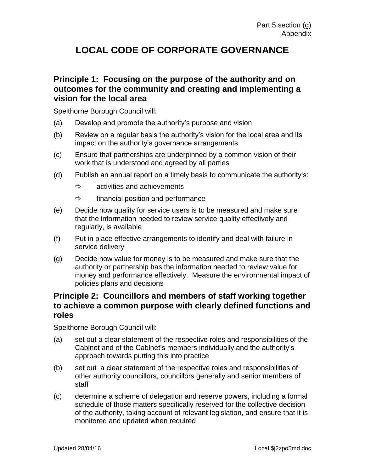# **LOCAL CODE OF CORPORATE GOVERNANCE**

#### **Principle 1: Focusing on the purpose of the authority and on outcomes for the community and creating and implementing a vision for the local area**

Spelthorne Borough Council will:

- (a) Develop and promote the authority's purpose and vision
- (b) Review on a regular basis the authority's vision for the local area and its impact on the authority's governance arrangements
- (c) Ensure that partnerships are underpinned by a common vision of their work that is understood and agreed by all parties
- (d) Publish an annual report on a timely basis to communicate the authority's:
	- $\Rightarrow$  activities and achievements
	- $\Rightarrow$  financial position and performance
- (e) Decide how quality for service users is to be measured and make sure that the information needed to review service quality effectively and regularly, is available
- (f) Put in place effective arrangements to identify and deal with failure in service delivery
- (g) Decide how value for money is to be measured and make sure that the authority or partnership has the information needed to review value for money and performance effectively. Measure the environmental impact of policies plans and decisions

## **Principle 2: Councillors and members of staff working together to achieve a common purpose with clearly defined functions and roles**

- (a) set out a clear statement of the respective roles and responsibilities of the Cabinet and of the Cabinet's members individually and the authority's approach towards putting this into practice
- (b) set out a clear statement of the respective roles and responsibilities of other authority councillors, councillors generally and senior members of staff
- (c) determine a scheme of delegation and reserve powers, including a formal schedule of those matters specifically reserved for the collective decision of the authority, taking account of relevant legislation, and ensure that it is monitored and updated when required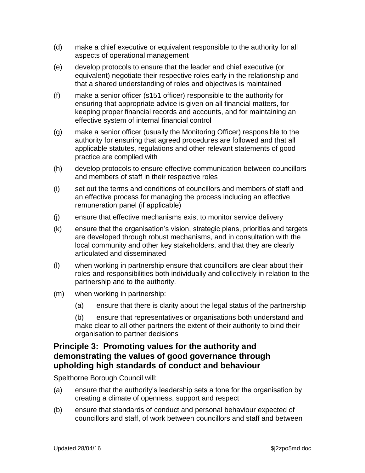- (d) make a chief executive or equivalent responsible to the authority for all aspects of operational management
- (e) develop protocols to ensure that the leader and chief executive (or equivalent) negotiate their respective roles early in the relationship and that a shared understanding of roles and objectives is maintained
- (f) make a senior officer (s151 officer) responsible to the authority for ensuring that appropriate advice is given on all financial matters, for keeping proper financial records and accounts, and for maintaining an effective system of internal financial control
- (g) make a senior officer (usually the Monitoring Officer) responsible to the authority for ensuring that agreed procedures are followed and that all applicable statutes, regulations and other relevant statements of good practice are complied with
- (h) develop protocols to ensure effective communication between councillors and members of staff in their respective roles
- (i) set out the terms and conditions of councillors and members of staff and an effective process for managing the process including an effective remuneration panel (if applicable)
- (j) ensure that effective mechanisms exist to monitor service delivery
- (k) ensure that the organisation's vision, strategic plans, priorities and targets are developed through robust mechanisms, and in consultation with the local community and other key stakeholders, and that they are clearly articulated and disseminated
- (l) when working in partnership ensure that councillors are clear about their roles and responsibilities both individually and collectively in relation to the partnership and to the authority.
- (m) when working in partnership:
	- (a) ensure that there is clarity about the legal status of the partnership

(b) ensure that representatives or organisations both understand and make clear to all other partners the extent of their authority to bind their organisation to partner decisions

### **Principle 3: Promoting values for the authority and demonstrating the values of good governance through upholding high standards of conduct and behaviour**

- (a) ensure that the authority's leadership sets a tone for the organisation by creating a climate of openness, support and respect
- (b) ensure that standards of conduct and personal behaviour expected of councillors and staff, of work between councillors and staff and between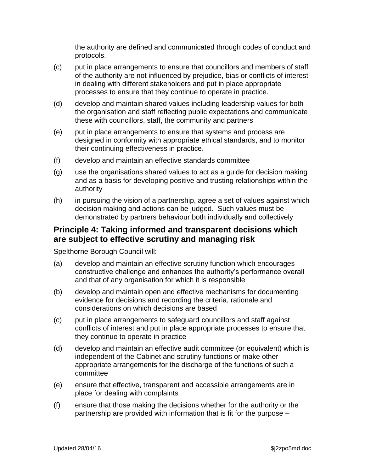the authority are defined and communicated through codes of conduct and protocols.

- (c) put in place arrangements to ensure that councillors and members of staff of the authority are not influenced by prejudice, bias or conflicts of interest in dealing with different stakeholders and put in place appropriate processes to ensure that they continue to operate in practice.
- (d) develop and maintain shared values including leadership values for both the organisation and staff reflecting public expectations and communicate these with councillors, staff, the community and partners
- (e) put in place arrangements to ensure that systems and process are designed in conformity with appropriate ethical standards, and to monitor their continuing effectiveness in practice.
- (f) develop and maintain an effective standards committee
- (g) use the organisations shared values to act as a guide for decision making and as a basis for developing positive and trusting relationships within the authority
- (h) in pursuing the vision of a partnership, agree a set of values against which decision making and actions can be judged. Such values must be demonstrated by partners behaviour both individually and collectively

#### **Principle 4: Taking informed and transparent decisions which are subject to effective scrutiny and managing risk**

- (a) develop and maintain an effective scrutiny function which encourages constructive challenge and enhances the authority's performance overall and that of any organisation for which it is responsible
- (b) develop and maintain open and effective mechanisms for documenting evidence for decisions and recording the criteria, rationale and considerations on which decisions are based
- (c) put in place arrangements to safeguard councillors and staff against conflicts of interest and put in place appropriate processes to ensure that they continue to operate in practice
- (d) develop and maintain an effective audit committee (or equivalent) which is independent of the Cabinet and scrutiny functions or make other appropriate arrangements for the discharge of the functions of such a committee
- (e) ensure that effective, transparent and accessible arrangements are in place for dealing with complaints
- (f) ensure that those making the decisions whether for the authority or the partnership are provided with information that is fit for the purpose –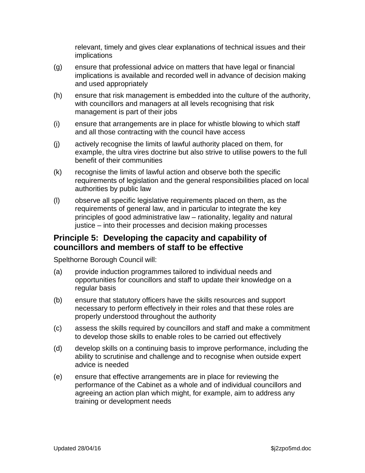relevant, timely and gives clear explanations of technical issues and their implications

- (g) ensure that professional advice on matters that have legal or financial implications is available and recorded well in advance of decision making and used appropriately
- (h) ensure that risk management is embedded into the culture of the authority, with councillors and managers at all levels recognising that risk management is part of their jobs
- (i) ensure that arrangements are in place for whistle blowing to which staff and all those contracting with the council have access
- (j) actively recognise the limits of lawful authority placed on them, for example, the ultra vires doctrine but also strive to utilise powers to the full benefit of their communities
- (k) recognise the limits of lawful action and observe both the specific requirements of legislation and the general responsibilities placed on local authorities by public law
- (l) observe all specific legislative requirements placed on them, as the requirements of general law, and in particular to integrate the key principles of good administrative law – rationality, legality and natural justice – into their processes and decision making processes

## **Principle 5: Developing the capacity and capability of councillors and members of staff to be effective**

- (a) provide induction programmes tailored to individual needs and opportunities for councillors and staff to update their knowledge on a regular basis
- (b) ensure that statutory officers have the skills resources and support necessary to perform effectively in their roles and that these roles are properly understood throughout the authority
- (c) assess the skills required by councillors and staff and make a commitment to develop those skills to enable roles to be carried out effectively
- (d) develop skills on a continuing basis to improve performance, including the ability to scrutinise and challenge and to recognise when outside expert advice is needed
- (e) ensure that effective arrangements are in place for reviewing the performance of the Cabinet as a whole and of individual councillors and agreeing an action plan which might, for example, aim to address any training or development needs